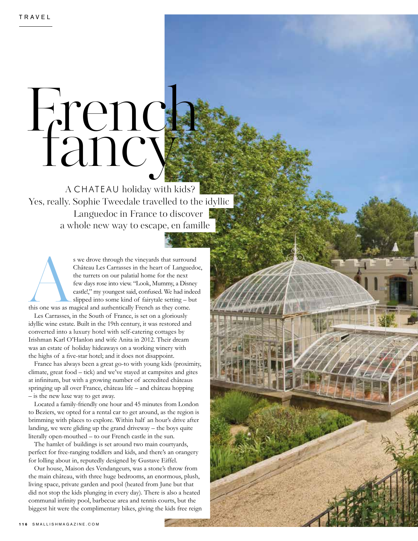## French fancy

A CHATEAU holiday with kids? Yes, really. Sophie Tweedale travelled to the idyllic Languedoc in France to discover a whole new way to escape, en famille

s we drove through the vineyards that surround<br>Château Les Carrasses in the heart of Languedo<br>the turrets on our palatial home for the next<br>few days rose into view. "Look, Mummy, a Disney<br>castle!," my youngest said, confus Château Les Carrasses in the heart of Languedoc, the turrets on our palatial home for the next few days rose into view. "Look, Mummy, a Disney castle!," my youngest said, confused. We had indeed slipped into some kind of fairytale setting – but

this one was as magical and authentically French as they come.

Les Carrasses, in the South of France, is set on a gloriously idyllic wine estate. Built in the 19th century, it was restored and converted into a luxury hotel with self-catering cottages by Irishman Karl O'Hanlon and wife Anita in 2012. Their dream was an estate of holiday hideaways on a working winery with the highs of a fve-star hotel; and it does not disappoint.

France has always been a great go-to with young kids (proximity, climate, great food – tick) and we've stayed at campsites and gites at infnitum, but with a growing number of accredited châteaus springing up all over France, château life – and château hopping – is the new luxe way to get away.

Located a family-friendly one hour and 45 minutes from London to Beziers, we opted for a rental car to get around, as the region is brimming with places to explore. Within half an hour's drive after landing, we were gliding up the grand driveway – the boys quite literally open-mouthed – to our French castle in the sun.

The hamlet of buildings is set around two main courtyards, perfect for free-ranging toddlers and kids, and there's an orangery for lolling about in, reputedly designed by Gustave Eiffel.

Our house, Maison des Vendangeurs, was a stone's throw from the main château, with three huge bedrooms, an enormous, plush, living space, private garden and pool (heated from June but that did not stop the kids plunging in every day). There is also a heated communal infnity pool, barbecue area and tennis courts, but the biggest hit were the complimentary bikes, giving the kids free reign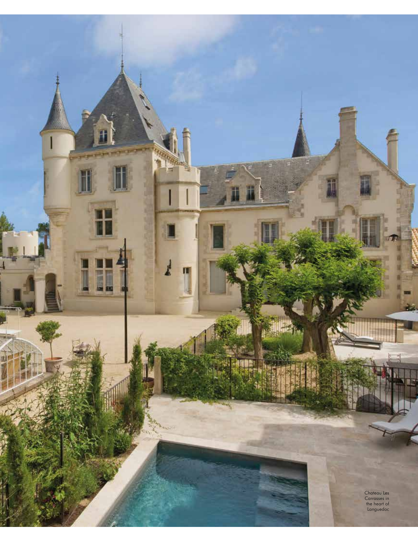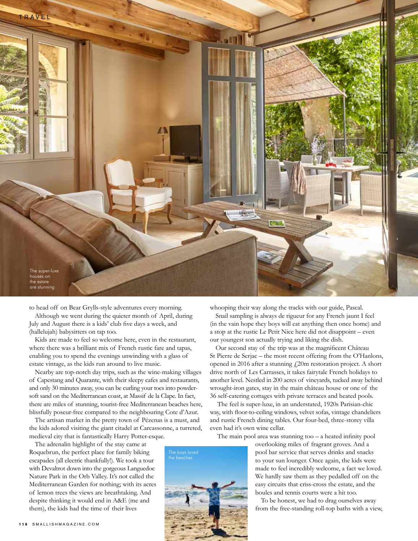

to head off on Bear Grylls-style adventures every morning.

Although we went during the quieter month of April, during July and August there is a kids' club fve days a week, and (hallelujah) babysitters on tap too.

Kids are made to feel so welcome here, even in the restaurant, where there was a brilliant mix of French rustic fare and tapas, enabling you to spend the evenings unwinding with a glass of estate vintage, as the kids run around to live music.

Nearby are top-notch day trips, such as the wine-making villages of Capestang and Quarante, with their sleepy cafes and restaurants, and only 30 minutes away, you can be curling your toes into powdersoft sand on the Mediterranean coast, at Massif de la Clape. In fact, there are miles of stunning, tourist-free Mediterranean beaches here, blissfully poseur-free compared to the neighbouring Cote d'Azur.

The artisan market in the pretty town of Pézenas is a must, and the kids adored visiting the giant citadel at Carcassonne, a turreted, medieval city that is fantastically Harry Potter-esque.

The adrenalin highlight of the stay came at Roquebrun, the perfect place for family biking escapades (all electric thankfully!). We took a tour with Devaltrot down into the gorgeous Languedoc Nature Park in the Orb Valley. It's not called the Mediterranean Garden for nothing; with its acres of lemon trees the views are breathtaking. And despite thinking it would end in A&E (me and them), the kids had the time of their lives

whooping their way along the tracks with our guide, Pascal.

Snail sampling is always de rigueur for any French jaunt I feel (in the vain hope they boys will eat anything then once home) and a stop at the rustic Le Petit Nice here did not disappoint – even our youngest son actually trying and liking the dish.

Our second stay of the trip was at the magnifcent Château St Pierre de Serjac – the most recent offering from the O'Hanlons, opened in 2016 after a stunning  $f$ 20m restoration project. A short drive north of Les Carrasses, it takes fairytale French holidays to another level. Nestled in 200 acres of vineyards, tucked away behind wrought-iron gates, stay in the main château house or one of the 36 self-catering cottages with private terraces and heated pools.

 The feel is super-luxe, in an understated, 1920s Parisian-chic way, with foor-to-ceiling windows, velvet sofas, vintage chandeliers and rustic French dining tables. Our four-bed, three-storey villa even had it's own wine cellar.

The main pool area was stunning too  $-$  a heated infinity pool

overlooking miles of fragrant groves. And a pool bar service that serves drinks and snacks to your sun lounger. Once again, the kids were made to feel incredibly welcome, a fact we loved. We hardly saw them as they pedalled off on the easy circuits that criss-cross the estate, and the boules and tennis courts were a hit too.

To be honest, we had to drag ourselves away from the free-standing roll-top baths with a view,